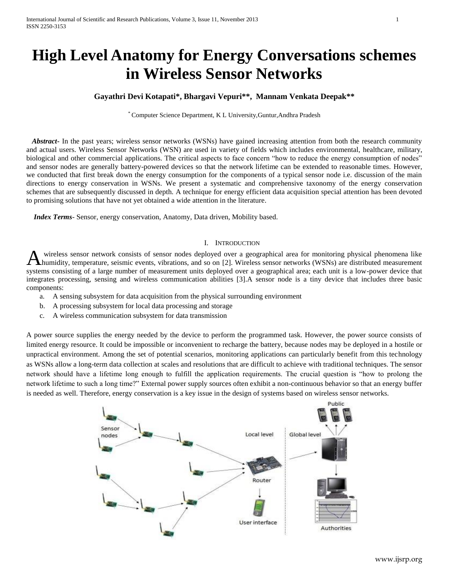# **High Level Anatomy for Energy Conversations schemes in Wireless Sensor Networks**

# **Gayathri Devi Kotapati\*, Bhargavi Vepuri\*\*, Mannam Venkata Deepak\*\***

\* Computer Science Department, K L University,Guntur,Andhra Pradesh

*Abstract* In the past years; wireless sensor networks (WSNs) have gained increasing attention from both the research community and actual users. Wireless Sensor Networks (WSN) are used in variety of fields which includes environmental, healthcare, military, biological and other commercial applications. The critical aspects to face concern "how to reduce the energy consumption of nodes" and sensor nodes are generally battery-powered devices so that the network lifetime can be extended to reasonable times. However, we conducted that first break down the energy consumption for the components of a typical sensor node i.e. discussion of the main directions to energy conservation in WSNs. We present a systematic and comprehensive taxonomy of the energy conservation schemes that are subsequently discussed in depth. A technique for energy efficient data acquisition special attention has been devoted to promising solutions that have not yet obtained a wide attention in the literature.

 *Index Terms*- Sensor, energy conservation, Anatomy, Data driven, Mobility based.

## I. INTRODUCTION

wireless sensor network consists of sensor nodes deployed over a geographical area for monitoring physical phenomena like humidity, temperature, seismic events, vibrations, and so on [2]. Wireless sensor networks (WSNs) are distributed measurement wireless sensor network consists of sensor nodes deployed over a geographical area for monitoring physical phenomena like humidity, temperature, seismic events, vibrations, and so on [2]. Wireless sensor networks (WSNs) ar integrates processing, sensing and wireless communication abilities [3].A sensor node is a tiny device that includes three basic components:

- a. A sensing subsystem for data acquisition from the physical surrounding environment
- b. A processing subsystem for local data processing and storage
- c. A wireless communication subsystem for data transmission

A power source supplies the energy needed by the device to perform the programmed task. However, the power source consists of limited energy resource. It could be impossible or inconvenient to recharge the battery, because nodes may be deployed in a hostile or unpractical environment. Among the set of potential scenarios, monitoring applications can particularly benefit from this technology as WSNs allow a long-term data collection at scales and resolutions that are difficult to achieve with traditional techniques. The sensor network should have a lifetime long enough to fulfill the application requirements. The crucial question is "how to prolong the network lifetime to such a long time?" External power supply sources often exhibit a non-continuous behavior so that an energy buffer is needed as well. Therefore, energy conservation is a key issue in the design of systems based on wireless sensor networks.

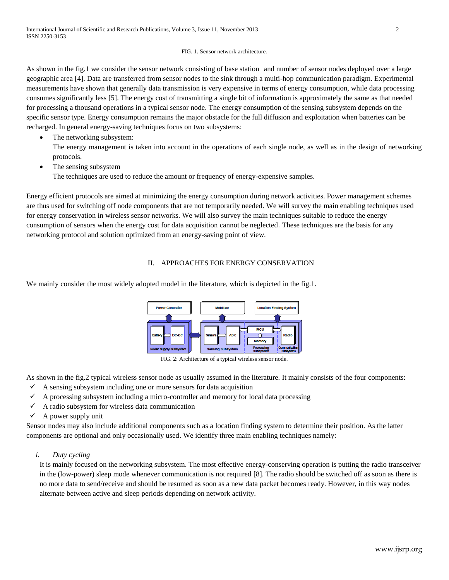#### FIG. 1. Sensor network architecture.

As shown in the fig.1 we consider the sensor network consisting of base station and number of sensor nodes deployed over a large geographic area [4]. Data are transferred from sensor nodes to the sink through a multi-hop communication paradigm. Experimental measurements have shown that generally data transmission is very expensive in terms of energy consumption, while data processing consumes significantly less [5]. The energy cost of transmitting a single bit of information is approximately the same as that needed for processing a thousand operations in a typical sensor node. The energy consumption of the sensing subsystem depends on the specific sensor type. Energy consumption remains the major obstacle for the full diffusion and exploitation when batteries can be recharged. In general energy-saving techniques focus on two subsystems:

The networking subsystem:

The energy management is taken into account in the operations of each single node, as well as in the design of networking protocols.

• The sensing subsystem

The techniques are used to reduce the amount or frequency of energy-expensive samples.

Energy efficient protocols are aimed at minimizing the energy consumption during network activities. Power management schemes are thus used for switching off node components that are not temporarily needed. We will survey the main enabling techniques used for energy conservation in wireless sensor networks. We will also survey the main techniques suitable to reduce the energy consumption of sensors when the energy cost for data acquisition cannot be neglected. These techniques are the basis for any networking protocol and solution optimized from an energy-saving point of view.

## II. APPROACHES FOR ENERGY CONSERVATION

We mainly consider the most widely adopted model in the literature, which is depicted in the fig.1.



FIG. 2: Architecture of a typical wireless sensor node.

As shown in the fig.2 typical wireless sensor node as usually assumed in the literature. It mainly consists of the four components:

- $\checkmark$  A sensing subsystem including one or more sensors for data acquisition
- $\checkmark$  A processing subsystem including a micro-controller and memory for local data processing
- $\checkmark$  A radio subsystem for wireless data communication
- $\checkmark$  A power supply unit

Sensor nodes may also include additional components such as a location finding system to determine their position. As the latter components are optional and only occasionally used. We identify three main enabling techniques namely:

## *i. Duty cycling*

It is mainly focused on the networking subsystem. The most effective energy-conserving operation is putting the radio transceiver in the (low-power) sleep mode whenever communication is not required [8]. The radio should be switched off as soon as there is no more data to send/receive and should be resumed as soon as a new data packet becomes ready. However, in this way nodes alternate between active and sleep periods depending on network activity.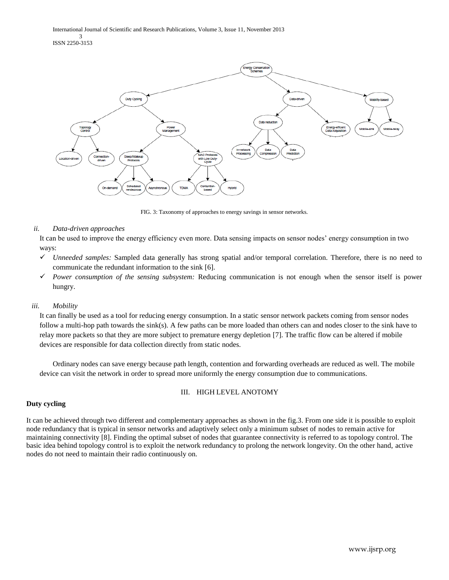International Journal of Scientific and Research Publications, Volume 3, Issue 11, November 2013 3 ISSN 2250-3153



FIG. 3: Taxonomy of approaches to energy savings in sensor networks.

## *ii. Data-driven approaches*

It can be used to improve the energy efficiency even more. Data sensing impacts on sensor nodes' energy consumption in two ways:

- *Unneeded samples:* Sampled data generally has strong spatial and/or temporal correlation. Therefore, there is no need to communicate the redundant information to the sink [6].
- *Power consumption of the sensing subsystem:* Reducing communication is not enough when the sensor itself is power hungry.

#### *iii. Mobility*

It can finally be used as a tool for reducing energy consumption. In a static sensor network packets coming from sensor nodes follow a multi-hop path towards the sink(s). A few paths can be more loaded than others can and nodes closer to the sink have to relay more packets so that they are more subject to premature energy depletion [7]. The traffic flow can be altered if mobile devices are responsible for data collection directly from static nodes.

Ordinary nodes can save energy because path length, contention and forwarding overheads are reduced as well. The mobile device can visit the network in order to spread more uniformly the energy consumption due to communications.

## III. HIGH LEVEL ANOTOMY

#### **Duty cycling**

It can be achieved through two different and complementary approaches as shown in the fig.3. From one side it is possible to exploit node redundancy that is typical in sensor networks and adaptively select only a minimum subset of nodes to remain active for maintaining connectivity [8]. Finding the optimal subset of nodes that guarantee connectivity is referred to as topology control. The basic idea behind topology control is to exploit the network redundancy to prolong the network longevity. On the other hand, active nodes do not need to maintain their radio continuously on.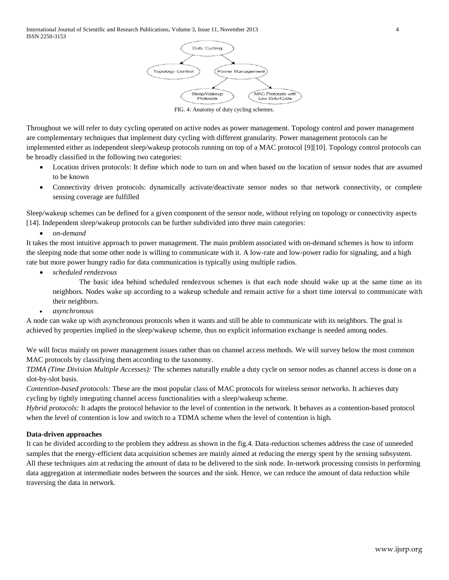

FIG. 4: Anatomy of duty cycling schemes.

Throughout we will refer to duty cycling operated on active nodes as power management. Topology control and power management are complementary techniques that implement duty cycling with different granularity. Power management protocols can be implemented either as independent sleep/wakeup protocols running on top of a MAC protocol [9][10]. Topology control protocols can be broadly classified in the following two categories:

- Location driven protocols: It define which node to turn on and when based on the location of sensor nodes that are assumed to be known
- Connectivity driven protocols: dynamically activate/deactivate sensor nodes so that network connectivity, or complete sensing coverage are fulfilled

Sleep/wakeup schemes can be defined for a given component of the sensor node, without relying on topology or connectivity aspects [14]. Independent sleep/wakeup protocols can be further subdivided into three main categories:

*on-demand*

It takes the most intuitive approach to power management. The main problem associated with on-demand schemes is how to inform the sleeping node that some other node is willing to communicate with it. A low-rate and low-power radio for signaling, and a high rate but more power hungry radio for data communication is typically using multiple radios.

*scheduled rendezvous*

The basic idea behind scheduled rendezvous schemes is that each node should wake up at the same time as its neighbors. Nodes wake up according to a wakeup schedule and remain active for a short time interval to communicate with their neighbors.

*asynchronous*

A node can wake up with asynchronous protocols when it wants and still be able to communicate with its neighbors. The goal is achieved by properties implied in the sleep/wakeup scheme, thus no explicit information exchange is needed among nodes.

We will focus mainly on power management issues rather than on channel access methods. We will survey below the most common MAC protocols by classifying them according to the taxonomy.

*TDMA (Time Division Multiple Accesses):* The schemes naturally enable a duty cycle on sensor nodes as channel access is done on a slot-by-slot basis.

*Contention-based protocols:* These are the most popular class of MAC protocols for wireless sensor networks. It achieves duty cycling by tightly integrating channel access functionalities with a sleep/wakeup scheme.

*Hybrid protocols:* It adapts the protocol behavior to the level of contention in the network. It behaves as a contention-based protocol when the level of contention is low and switch to a TDMA scheme when the level of contention is high.

## **Data-driven approaches**

It can be divided according to the problem they address as shown in the fig.4. Data-reduction schemes address the case of unneeded samples that the energy-efficient data acquisition schemes are mainly aimed at reducing the energy spent by the sensing subsystem. All these techniques aim at reducing the amount of data to be delivered to the sink node. In-network processing consists in performing data aggregation at intermediate nodes between the sources and the sink. Hence, we can reduce the amount of data reduction while traversing the data in network.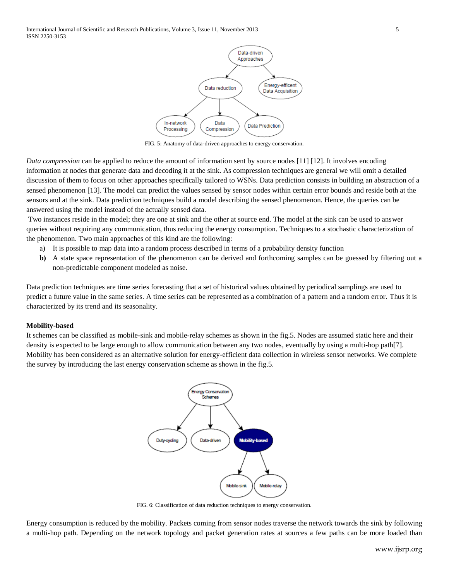International Journal of Scientific and Research Publications, Volume 3, Issue 11, November 2013 5 ISSN 2250-3153



FIG. 5: Anatomy of data-driven approaches to energy conservation.

*Data compression* can be applied to reduce the amount of information sent by source nodes [11] [12]. It involves encoding information at nodes that generate data and decoding it at the sink. As compression techniques are general we will omit a detailed discussion of them to focus on other approaches specifically tailored to WSNs. Data prediction consists in building an abstraction of a sensed phenomenon [13]. The model can predict the values sensed by sensor nodes within certain error bounds and reside both at the sensors and at the sink. Data prediction techniques build a model describing the sensed phenomenon. Hence, the queries can be answered using the model instead of the actually sensed data.

Two instances reside in the model; they are one at sink and the other at source end. The model at the sink can be used to answer queries without requiring any communication, thus reducing the energy consumption. Techniques to a stochastic characterization of the phenomenon. Two main approaches of this kind are the following:

- a) It is possible to map data into a random process described in terms of a probability density function
- **b)** A state space representation of the phenomenon can be derived and forthcoming samples can be guessed by filtering out a non-predictable component modeled as noise.

Data prediction techniques are time series forecasting that a set of historical values obtained by periodical samplings are used to predict a future value in the same series. A time series can be represented as a combination of a pattern and a random error. Thus it is characterized by its trend and its seasonality.

## **Mobility-based**

It schemes can be classified as mobile-sink and mobile-relay schemes as shown in the fig.5. Nodes are assumed static here and their density is expected to be large enough to allow communication between any two nodes, eventually by using a multi-hop path[7]. Mobility has been considered as an alternative solution for energy-efficient data collection in wireless sensor networks. We complete the survey by introducing the last energy conservation scheme as shown in the fig.5.



FIG. 6: Classification of data reduction techniques to energy conservation.

Energy consumption is reduced by the mobility. Packets coming from sensor nodes traverse the network towards the sink by following a multi-hop path. Depending on the network topology and packet generation rates at sources a few paths can be more loaded than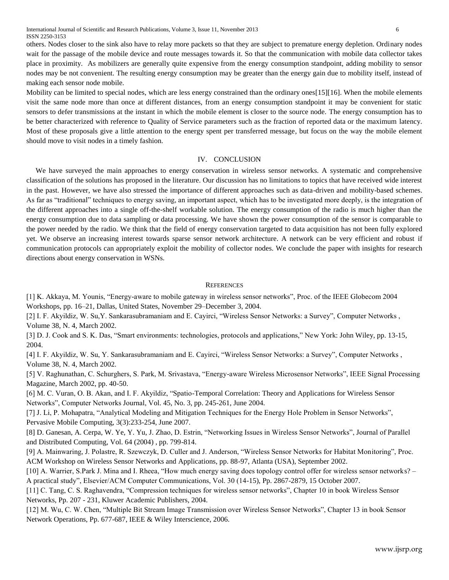International Journal of Scientific and Research Publications, Volume 3, Issue 11, November 2013 6 ISSN 2250-3153

others. Nodes closer to the sink also have to relay more packets so that they are subject to premature energy depletion. Ordinary nodes wait for the passage of the mobile device and route messages towards it. So that the communication with mobile data collector takes place in proximity. As mobilizers are generally quite expensive from the energy consumption standpoint, adding mobility to sensor nodes may be not convenient. The resulting energy consumption may be greater than the energy gain due to mobility itself, instead of making each sensor node mobile.

Mobility can be limited to special nodes, which are less energy constrained than the ordinary ones[15][16]. When the mobile elements visit the same node more than once at different distances, from an energy consumption standpoint it may be convenient for static sensors to defer transmissions at the instant in which the mobile element is closer to the source node. The energy consumption has to be better characterized with reference to Quality of Service parameters such as the fraction of reported data or the maximum latency. Most of these proposals give a little attention to the energy spent per transferred message, but focus on the way the mobile element should move to visit nodes in a timely fashion.

#### IV. CONCLUSION

 We have surveyed the main approaches to energy conservation in wireless sensor networks. A systematic and comprehensive classification of the solutions has proposed in the literature. Our discussion has no limitations to topics that have received wide interest in the past. However, we have also stressed the importance of different approaches such as data-driven and mobility-based schemes. As far as "traditional" techniques to energy saving, an important aspect, which has to be investigated more deeply, is the integration of the different approaches into a single off-the-shelf workable solution. The energy consumption of the radio is much higher than the energy consumption due to data sampling or data processing. We have shown the power consumption of the sensor is comparable to the power needed by the radio. We think that the field of energy conservation targeted to data acquisition has not been fully explored yet. We observe an increasing interest towards sparse sensor network architecture. A network can be very efficient and robust if communication protocols can appropriately exploit the mobility of collector nodes. We conclude the paper with insights for research directions about energy conservation in WSNs.

#### **REFERENCES**

[1] K. Akkaya, M. Younis, "Energy-aware to mobile gateway in wireless sensor networks", Proc. of the IEEE Globecom 2004 Workshops, pp. 16–21, Dallas, United States, November 29–December 3, 2004.

[2] I. F. Akyildiz, W. Su,Y. Sankarasubramaniam and E. Cayirci, "Wireless Sensor Networks: a Survey", Computer Networks , Volume 38, N. 4, March 2002.

[3] D. J. Cook and S. K. Das, "Smart environments: technologies, protocols and applications," New York: John Wiley, pp. 13-15, 2004.

[4] I. F. Akyildiz, W. Su, Y. Sankarasubramaniam and E. Cayirci, "Wireless Sensor Networks: a Survey", Computer Networks , Volume 38, N. 4, March 2002.

[5] V. Raghunathan, C. Schurghers, S. Park, M. Srivastava, "Energy-aware Wireless Microsensor Networks", IEEE Signal Processing Magazine, March 2002, pp. 40-50.

[6] M. C. Vuran, O. B. Akan, and I. F. Akyildiz, "Spatio-Temporal Correlation: Theory and Applications for Wireless Sensor Networks", Computer Networks Journal, Vol. 45, No. 3, pp. 245-261, June 2004.

[7] J. Li, P. Mohapatra, "Analytical Modeling and Mitigation Techniques for the Energy Hole Problem in Sensor Networks", Pervasive Mobile Computing, 3(3):233-254, June 2007.

[8] D. Ganesan, A. Cerpa, W. Ye, Y. Yu, J. Zhao, D. Estrin, "Networking Issues in Wireless Sensor Networks", Journal of Parallel and Distributed Computing, Vol. 64 (2004) , pp. 799-814.

[9] A. Mainwaring, J. Polastre, R. Szewczyk, D. Culler and J. Anderson, "Wireless Sensor Networks for Habitat Monitoring", Proc. ACM Workshop on Wireless Sensor Networks and Applications, pp. 88-97, Atlanta (USA), September 2002.

[10] A. Warrier, S.Park J. Mina and I. Rheea, "How much energy saving does topology control offer for wireless sensor networks? – A practical study", Elsevier/ACM Computer Communications, Vol. 30 (14-15), Pp. 2867-2879, 15 October 2007.

[11] C. Tang, C. S. Raghavendra, "Compression techniques for wireless sensor networks", Chapter 10 in book Wireless Sensor Networks, Pp. 207 - 231, Kluwer Academic Publishers, 2004.

[12] M. Wu, C. W. Chen, "Multiple Bit Stream Image Transmission over Wireless Sensor Networks", Chapter 13 in book Sensor Network Operations, Pp. 677-687, IEEE & Wiley Interscience, 2006.